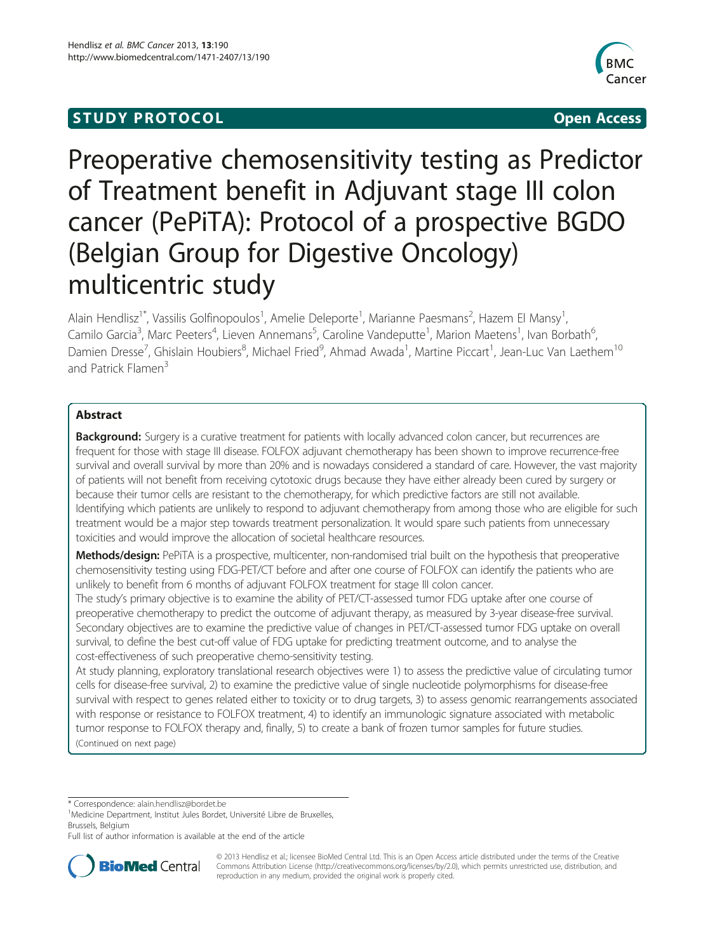# **STUDY PROTOCOL** CONTROL CONTROL CONTROL CONTROL CONTROL CONTROL CONTROL CONTROL CONTROL CONTROL CONTROL CONTROL CONTROL CONTROL CONTROL CONTROL CONTROL CONTROL CONTROL CONTROL CONTROL CONTROL CONTROL CONTROL CONTROL CONTR



# Preoperative chemosensitivity testing as Predictor of Treatment benefit in Adjuvant stage III colon cancer (PePiTA): Protocol of a prospective BGDO (Belgian Group for Digestive Oncology) multicentric study

Alain Hendlisz<sup>1\*</sup>, Vassilis Golfinopoulos<sup>1</sup>, Amelie Deleporte<sup>1</sup>, Marianne Paesmans<sup>2</sup>, Hazem El Mansy<sup>1</sup> , Camilo Garcia<sup>3</sup>, Marc Peeters<sup>4</sup>, Lieven Annemans<sup>5</sup>, Caroline Vandeputte<sup>1</sup>, Marion Maetens<sup>1</sup>, Ivan Borbath<sup>6</sup> , Damien Dresse<sup>7</sup>, Ghislain Houbiers<sup>8</sup>, Michael Fried<sup>9</sup>, Ahmad Awada<sup>1</sup>, Martine Piccart<sup>1</sup>, Jean-Luc Van Laethem<sup>10</sup> and Patrick Flamen<sup>3</sup>

# Abstract

Background: Surgery is a curative treatment for patients with locally advanced colon cancer, but recurrences are frequent for those with stage III disease. FOLFOX adjuvant chemotherapy has been shown to improve recurrence-free survival and overall survival by more than 20% and is nowadays considered a standard of care. However, the vast majority of patients will not benefit from receiving cytotoxic drugs because they have either already been cured by surgery or because their tumor cells are resistant to the chemotherapy, for which predictive factors are still not available. Identifying which patients are unlikely to respond to adjuvant chemotherapy from among those who are eligible for such treatment would be a major step towards treatment personalization. It would spare such patients from unnecessary toxicities and would improve the allocation of societal healthcare resources.

Methods/design: PePiTA is a prospective, multicenter, non-randomised trial built on the hypothesis that preoperative chemosensitivity testing using FDG-PET/CT before and after one course of FOLFOX can identify the patients who are unlikely to benefit from 6 months of adjuvant FOLFOX treatment for stage III colon cancer.

The study's primary objective is to examine the ability of PET/CT-assessed tumor FDG uptake after one course of preoperative chemotherapy to predict the outcome of adjuvant therapy, as measured by 3-year disease-free survival. Secondary objectives are to examine the predictive value of changes in PET/CT-assessed tumor FDG uptake on overall survival, to define the best cut-off value of FDG uptake for predicting treatment outcome, and to analyse the cost-effectiveness of such preoperative chemo-sensitivity testing.

At study planning, exploratory translational research objectives were 1) to assess the predictive value of circulating tumor cells for disease-free survival, 2) to examine the predictive value of single nucleotide polymorphisms for disease-free survival with respect to genes related either to toxicity or to drug targets, 3) to assess genomic rearrangements associated with response or resistance to FOLFOX treatment, 4) to identify an immunologic signature associated with metabolic tumor response to FOLFOX therapy and, finally, 5) to create a bank of frozen tumor samples for future studies. (Continued on next page)

\* Correspondence: [alain.hendlisz@bordet.be](mailto:alain.hendlisz@bordet.be) <sup>1</sup>

<sup>1</sup>Medicine Department, Institut Jules Bordet, Université Libre de Bruxelles, Brussels, Belgium

Full list of author information is available at the end of the article



© 2013 Hendlisz et al.; licensee BioMed Central Ltd. This is an Open Access article distributed under the terms of the Creative Commons Attribution License [\(http://creativecommons.org/licenses/by/2.0\)](http://creativecommons.org/licenses/by/2.0), which permits unrestricted use, distribution, and reproduction in any medium, provided the original work is properly cited.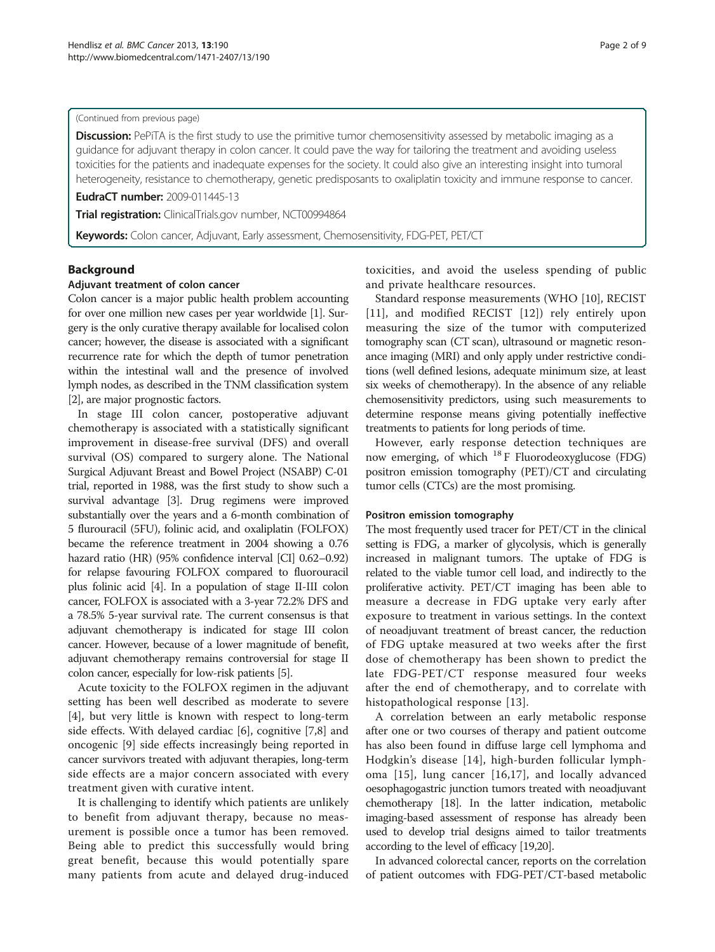#### (Continued from previous page)

Discussion: PePITA is the first study to use the primitive tumor chemosensitivity assessed by metabolic imaging as a guidance for adjuvant therapy in colon cancer. It could pave the way for tailoring the treatment and avoiding useless toxicities for the patients and inadequate expenses for the society. It could also give an interesting insight into tumoral heterogeneity, resistance to chemotherapy, genetic predisposants to oxaliplatin toxicity and immune response to cancer.

#### EudraCT number: 2009-011445-13

Trial registration: ClinicalTrials.gov number, [NCT00994864](http://www.clinicaltrials.gov/NCT00994864)

Keywords: Colon cancer, Adjuvant, Early assessment, Chemosensitivity, FDG-PET, PET/CT

## Background

#### Adjuvant treatment of colon cancer

Colon cancer is a major public health problem accounting for over one million new cases per year worldwide [\[1\]](#page-6-0). Surgery is the only curative therapy available for localised colon cancer; however, the disease is associated with a significant recurrence rate for which the depth of tumor penetration within the intestinal wall and the presence of involved lymph nodes, as described in the TNM classification system [[2](#page-6-0)], are major prognostic factors.

In stage III colon cancer, postoperative adjuvant chemotherapy is associated with a statistically significant improvement in disease-free survival (DFS) and overall survival (OS) compared to surgery alone. The National Surgical Adjuvant Breast and Bowel Project (NSABP) C-01 trial, reported in 1988, was the first study to show such a survival advantage [\[3\]](#page-6-0). Drug regimens were improved substantially over the years and a 6-month combination of 5 flurouracil (5FU), folinic acid, and oxaliplatin (FOLFOX) became the reference treatment in 2004 showing a 0.76 hazard ratio (HR) (95% confidence interval [CI] 0.62–0.92) for relapse favouring FOLFOX compared to fluorouracil plus folinic acid [[4](#page-7-0)]. In a population of stage II-III colon cancer, FOLFOX is associated with a 3-year 72.2% DFS and a 78.5% 5-year survival rate. The current consensus is that adjuvant chemotherapy is indicated for stage III colon cancer. However, because of a lower magnitude of benefit, adjuvant chemotherapy remains controversial for stage II colon cancer, especially for low-risk patients [\[5\]](#page-7-0).

Acute toxicity to the FOLFOX regimen in the adjuvant setting has been well described as moderate to severe [[4\]](#page-7-0), but very little is known with respect to long-term side effects. With delayed cardiac [[6\]](#page-7-0), cognitive [\[7,8](#page-7-0)] and oncogenic [\[9\]](#page-7-0) side effects increasingly being reported in cancer survivors treated with adjuvant therapies, long-term side effects are a major concern associated with every treatment given with curative intent.

It is challenging to identify which patients are unlikely to benefit from adjuvant therapy, because no measurement is possible once a tumor has been removed. Being able to predict this successfully would bring great benefit, because this would potentially spare many patients from acute and delayed drug-induced

toxicities, and avoid the useless spending of public and private healthcare resources.

Standard response measurements (WHO [[10](#page-7-0)], RECIST [[11\]](#page-7-0), and modified RECIST [\[12](#page-7-0)]) rely entirely upon measuring the size of the tumor with computerized tomography scan (CT scan), ultrasound or magnetic resonance imaging (MRI) and only apply under restrictive conditions (well defined lesions, adequate minimum size, at least six weeks of chemotherapy). In the absence of any reliable chemosensitivity predictors, using such measurements to determine response means giving potentially ineffective treatments to patients for long periods of time.

However, early response detection techniques are now emerging, of which  $^{18}$  F Fluorodeoxyglucose (FDG) positron emission tomography (PET)/CT and circulating tumor cells (CTCs) are the most promising.

#### Positron emission tomography

The most frequently used tracer for PET/CT in the clinical setting is FDG, a marker of glycolysis, which is generally increased in malignant tumors. The uptake of FDG is related to the viable tumor cell load, and indirectly to the proliferative activity. PET/CT imaging has been able to measure a decrease in FDG uptake very early after exposure to treatment in various settings. In the context of neoadjuvant treatment of breast cancer, the reduction of FDG uptake measured at two weeks after the first dose of chemotherapy has been shown to predict the late FDG-PET/CT response measured four weeks after the end of chemotherapy, and to correlate with histopathological response [[13](#page-7-0)].

A correlation between an early metabolic response after one or two courses of therapy and patient outcome has also been found in diffuse large cell lymphoma and Hodgkin's disease [[14](#page-7-0)], high-burden follicular lymphoma [\[15\]](#page-7-0), lung cancer [[16,17](#page-7-0)], and locally advanced oesophagogastric junction tumors treated with neoadjuvant chemotherapy [\[18\]](#page-7-0). In the latter indication, metabolic imaging-based assessment of response has already been used to develop trial designs aimed to tailor treatments according to the level of efficacy [\[19,20\]](#page-7-0).

In advanced colorectal cancer, reports on the correlation of patient outcomes with FDG-PET/CT-based metabolic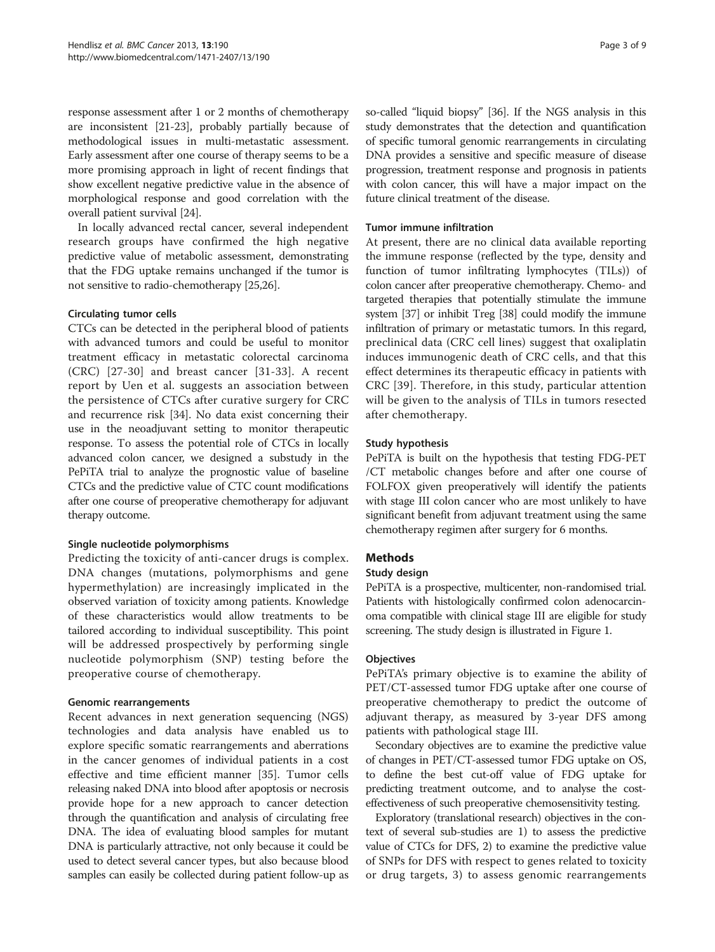response assessment after 1 or 2 months of chemotherapy are inconsistent [\[21-23\]](#page-7-0), probably partially because of methodological issues in multi-metastatic assessment. Early assessment after one course of therapy seems to be a more promising approach in light of recent findings that show excellent negative predictive value in the absence of morphological response and good correlation with the overall patient survival [\[24\]](#page-7-0).

In locally advanced rectal cancer, several independent research groups have confirmed the high negative predictive value of metabolic assessment, demonstrating that the FDG uptake remains unchanged if the tumor is not sensitive to radio-chemotherapy [[25,26\]](#page-7-0).

#### Circulating tumor cells

CTCs can be detected in the peripheral blood of patients with advanced tumors and could be useful to monitor treatment efficacy in metastatic colorectal carcinoma (CRC) [[27-30\]](#page-7-0) and breast cancer [[31-33\]](#page-7-0). A recent report by Uen et al. suggests an association between the persistence of CTCs after curative surgery for CRC and recurrence risk [\[34](#page-7-0)]. No data exist concerning their use in the neoadjuvant setting to monitor therapeutic response. To assess the potential role of CTCs in locally advanced colon cancer, we designed a substudy in the PePiTA trial to analyze the prognostic value of baseline CTCs and the predictive value of CTC count modifications after one course of preoperative chemotherapy for adjuvant therapy outcome.

## Single nucleotide polymorphisms

Predicting the toxicity of anti-cancer drugs is complex. DNA changes (mutations, polymorphisms and gene hypermethylation) are increasingly implicated in the observed variation of toxicity among patients. Knowledge of these characteristics would allow treatments to be tailored according to individual susceptibility. This point will be addressed prospectively by performing single nucleotide polymorphism (SNP) testing before the preoperative course of chemotherapy.

#### Genomic rearrangements

Recent advances in next generation sequencing (NGS) technologies and data analysis have enabled us to explore specific somatic rearrangements and aberrations in the cancer genomes of individual patients in a cost effective and time efficient manner [\[35\]](#page-7-0). Tumor cells releasing naked DNA into blood after apoptosis or necrosis provide hope for a new approach to cancer detection through the quantification and analysis of circulating free DNA. The idea of evaluating blood samples for mutant DNA is particularly attractive, not only because it could be used to detect several cancer types, but also because blood samples can easily be collected during patient follow-up as

so-called "liquid biopsy" [\[36\]](#page-7-0). If the NGS analysis in this study demonstrates that the detection and quantification of specific tumoral genomic rearrangements in circulating DNA provides a sensitive and specific measure of disease progression, treatment response and prognosis in patients with colon cancer, this will have a major impact on the future clinical treatment of the disease.

#### Tumor immune infiltration

At present, there are no clinical data available reporting the immune response (reflected by the type, density and function of tumor infiltrating lymphocytes (TILs)) of colon cancer after preoperative chemotherapy. Chemo- and targeted therapies that potentially stimulate the immune system [[37](#page-7-0)] or inhibit Treg [[38](#page-7-0)] could modify the immune infiltration of primary or metastatic tumors. In this regard, preclinical data (CRC cell lines) suggest that oxaliplatin induces immunogenic death of CRC cells, and that this effect determines its therapeutic efficacy in patients with CRC [[39](#page-8-0)]. Therefore, in this study, particular attention will be given to the analysis of TILs in tumors resected after chemotherapy.

## Study hypothesis

PePiTA is built on the hypothesis that testing FDG-PET /CT metabolic changes before and after one course of FOLFOX given preoperatively will identify the patients with stage III colon cancer who are most unlikely to have significant benefit from adjuvant treatment using the same chemotherapy regimen after surgery for 6 months.

# **Methods**

# Study design

PePiTA is a prospective, multicenter, non-randomised trial. Patients with histologically confirmed colon adenocarcinoma compatible with clinical stage III are eligible for study screening. The study design is illustrated in Figure [1.](#page-3-0)

#### **Objectives**

PePiTA's primary objective is to examine the ability of PET/CT-assessed tumor FDG uptake after one course of preoperative chemotherapy to predict the outcome of adjuvant therapy, as measured by 3-year DFS among patients with pathological stage III.

Secondary objectives are to examine the predictive value of changes in PET/CT-assessed tumor FDG uptake on OS, to define the best cut-off value of FDG uptake for predicting treatment outcome, and to analyse the costeffectiveness of such preoperative chemosensitivity testing.

Exploratory (translational research) objectives in the context of several sub-studies are 1) to assess the predictive value of CTCs for DFS, 2) to examine the predictive value of SNPs for DFS with respect to genes related to toxicity or drug targets, 3) to assess genomic rearrangements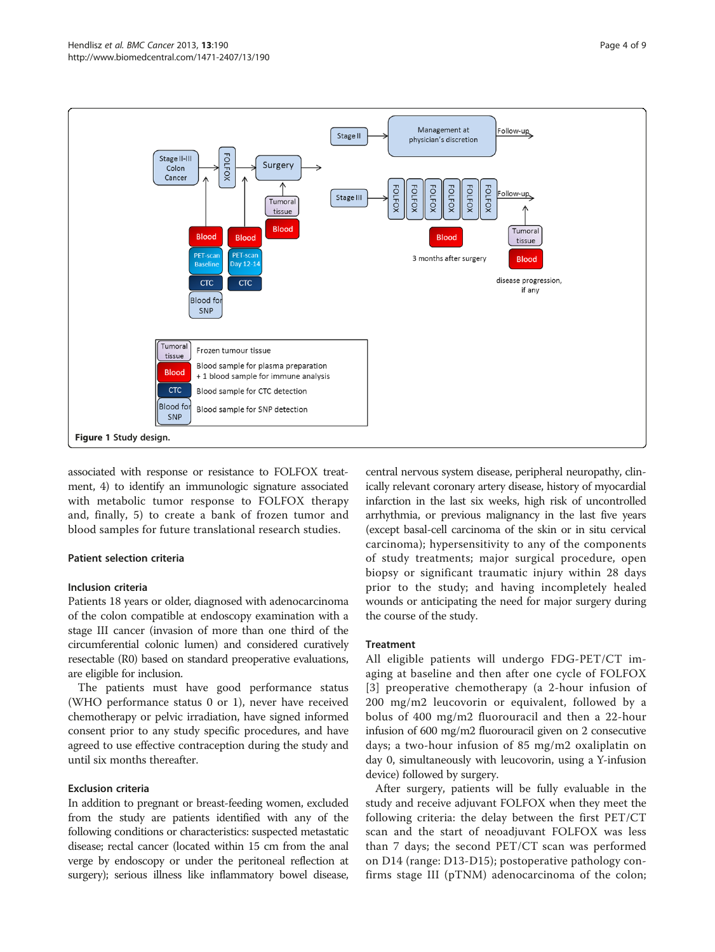<span id="page-3-0"></span>

associated with response or resistance to FOLFOX treatment, 4) to identify an immunologic signature associated with metabolic tumor response to FOLFOX therapy and, finally, 5) to create a bank of frozen tumor and blood samples for future translational research studies.

#### Patient selection criteria

## Inclusion criteria

Patients 18 years or older, diagnosed with adenocarcinoma of the colon compatible at endoscopy examination with a stage III cancer (invasion of more than one third of the circumferential colonic lumen) and considered curatively resectable (R0) based on standard preoperative evaluations, are eligible for inclusion.

The patients must have good performance status (WHO performance status 0 or 1), never have received chemotherapy or pelvic irradiation, have signed informed consent prior to any study specific procedures, and have agreed to use effective contraception during the study and until six months thereafter.

#### Exclusion criteria

In addition to pregnant or breast-feeding women, excluded from the study are patients identified with any of the following conditions or characteristics: suspected metastatic disease; rectal cancer (located within 15 cm from the anal verge by endoscopy or under the peritoneal reflection at surgery); serious illness like inflammatory bowel disease,

central nervous system disease, peripheral neuropathy, clinically relevant coronary artery disease, history of myocardial infarction in the last six weeks, high risk of uncontrolled arrhythmia, or previous malignancy in the last five years (except basal-cell carcinoma of the skin or in situ cervical carcinoma); hypersensitivity to any of the components of study treatments; major surgical procedure, open biopsy or significant traumatic injury within 28 days prior to the study; and having incompletely healed wounds or anticipating the need for major surgery during the course of the study.

## **Treatment**

All eligible patients will undergo FDG-PET/CT imaging at baseline and then after one cycle of FOLFOX [[3](#page-6-0)] preoperative chemotherapy (a 2-hour infusion of 200 mg/m2 leucovorin or equivalent, followed by a bolus of 400 mg/m2 fluorouracil and then a 22-hour infusion of 600 mg/m2 fluorouracil given on 2 consecutive days; a two-hour infusion of 85 mg/m2 oxaliplatin on day 0, simultaneously with leucovorin, using a Y-infusion device) followed by surgery.

After surgery, patients will be fully evaluable in the study and receive adjuvant FOLFOX when they meet the following criteria: the delay between the first PET/CT scan and the start of neoadjuvant FOLFOX was less than 7 days; the second PET/CT scan was performed on D14 (range: D13-D15); postoperative pathology confirms stage III (pTNM) adenocarcinoma of the colon;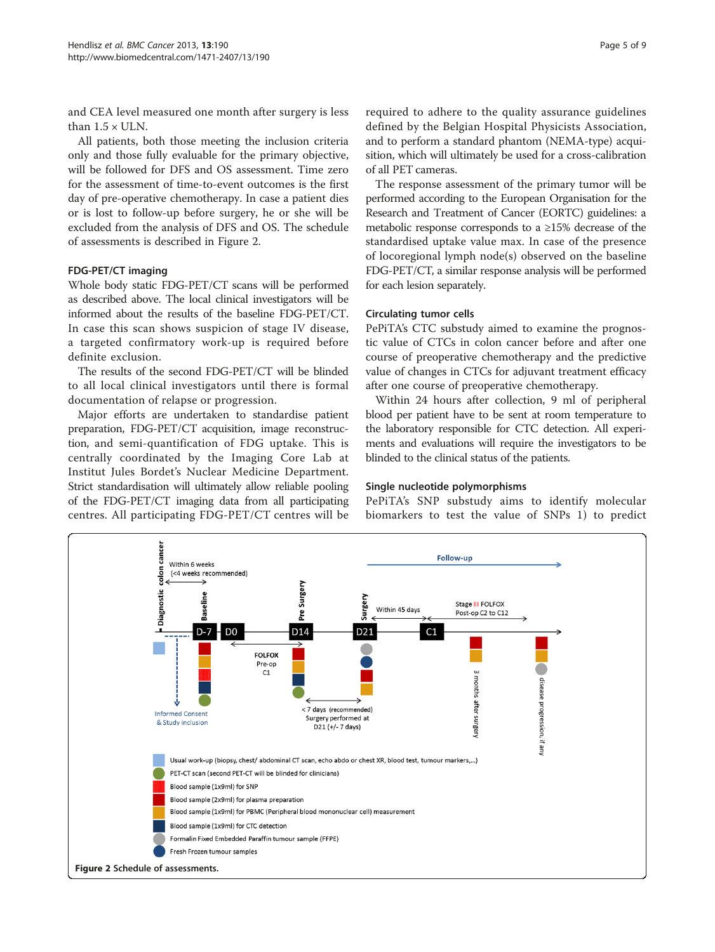<span id="page-4-0"></span>and CEA level measured one month after surgery is less than  $1.5 \times$  ULN.

All patients, both those meeting the inclusion criteria only and those fully evaluable for the primary objective, will be followed for DFS and OS assessment. Time zero for the assessment of time-to-event outcomes is the first day of pre-operative chemotherapy. In case a patient dies or is lost to follow-up before surgery, he or she will be excluded from the analysis of DFS and OS. The schedule of assessments is described in Figure 2.

#### FDG-PET/CT imaging

Whole body static FDG-PET/CT scans will be performed as described above. The local clinical investigators will be informed about the results of the baseline FDG-PET/CT. In case this scan shows suspicion of stage IV disease, a targeted confirmatory work-up is required before definite exclusion.

The results of the second FDG-PET/CT will be blinded to all local clinical investigators until there is formal documentation of relapse or progression.

Major efforts are undertaken to standardise patient preparation, FDG-PET/CT acquisition, image reconstruction, and semi-quantification of FDG uptake. This is centrally coordinated by the Imaging Core Lab at Institut Jules Bordet's Nuclear Medicine Department. Strict standardisation will ultimately allow reliable pooling of the FDG-PET/CT imaging data from all participating centres. All participating FDG-PET/CT centres will be

The response assessment of the primary tumor will be performed according to the European Organisation for the Research and Treatment of Cancer (EORTC) guidelines: a metabolic response corresponds to a ≥15% decrease of the standardised uptake value max. In case of the presence of locoregional lymph node(s) observed on the baseline FDG-PET/CT, a similar response analysis will be performed for each lesion separately.

#### Circulating tumor cells

PePiTA's CTC substudy aimed to examine the prognostic value of CTCs in colon cancer before and after one course of preoperative chemotherapy and the predictive value of changes in CTCs for adjuvant treatment efficacy after one course of preoperative chemotherapy.

Within 24 hours after collection, 9 ml of peripheral blood per patient have to be sent at room temperature to the laboratory responsible for CTC detection. All experiments and evaluations will require the investigators to be blinded to the clinical status of the patients.

#### Single nucleotide polymorphisms

PePiTA's SNP substudy aims to identify molecular biomarkers to test the value of SNPs 1) to predict

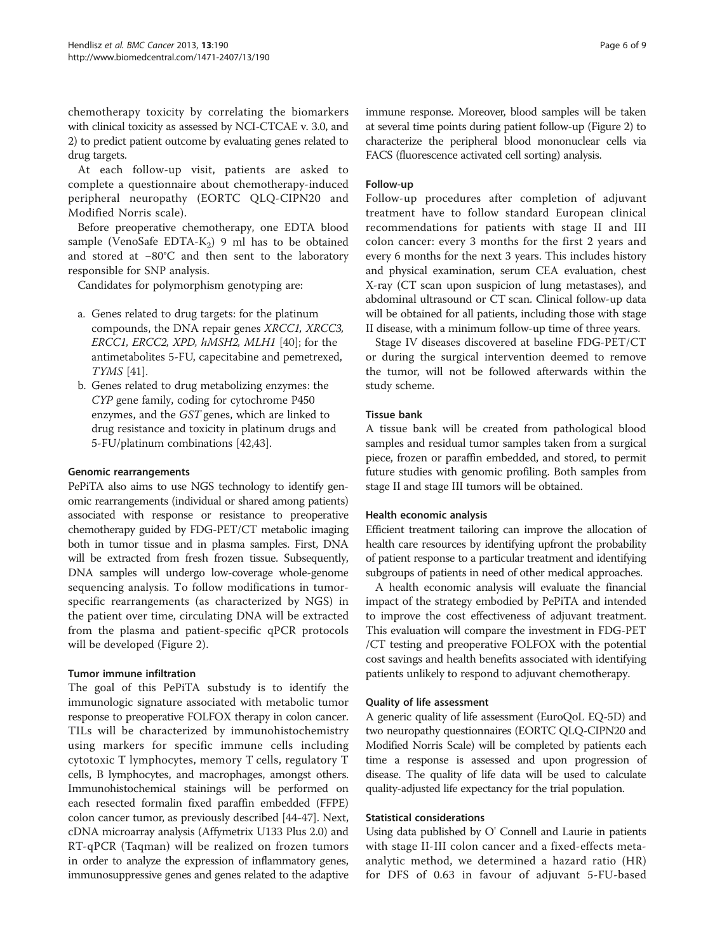chemotherapy toxicity by correlating the biomarkers with clinical toxicity as assessed by NCI-CTCAE v. 3.0, and 2) to predict patient outcome by evaluating genes related to drug targets.

At each follow-up visit, patients are asked to complete a questionnaire about chemotherapy-induced peripheral neuropathy (EORTC QLQ-CIPN20 and Modified Norris scale).

Before preoperative chemotherapy, one EDTA blood sample (VenoSafe EDTA- $K_2$ ) 9 ml has to be obtained and stored at −80°C and then sent to the laboratory responsible for SNP analysis.

Candidates for polymorphism genotyping are:

- a. Genes related to drug targets: for the platinum compounds, the DNA repair genes XRCC1, XRCC3, ERCC1, ERCC2, XPD, hMSH2, MLH1 [[40\]](#page-8-0); for the antimetabolites 5-FU, capecitabine and pemetrexed, TYMS [[41](#page-8-0)].
- b. Genes related to drug metabolizing enzymes: the CYP gene family, coding for cytochrome P450 enzymes, and the GST genes, which are linked to drug resistance and toxicity in platinum drugs and 5-FU/platinum combinations [[42,43](#page-8-0)].

#### Genomic rearrangements

PePiTA also aims to use NGS technology to identify genomic rearrangements (individual or shared among patients) associated with response or resistance to preoperative chemotherapy guided by FDG-PET/CT metabolic imaging both in tumor tissue and in plasma samples. First, DNA will be extracted from fresh frozen tissue. Subsequently, DNA samples will undergo low-coverage whole-genome sequencing analysis. To follow modifications in tumorspecific rearrangements (as characterized by NGS) in the patient over time, circulating DNA will be extracted from the plasma and patient-specific qPCR protocols will be developed (Figure [2](#page-4-0)).

#### Tumor immune infiltration

The goal of this PePiTA substudy is to identify the immunologic signature associated with metabolic tumor response to preoperative FOLFOX therapy in colon cancer. TILs will be characterized by immunohistochemistry using markers for specific immune cells including cytotoxic T lymphocytes, memory T cells, regulatory T cells, B lymphocytes, and macrophages, amongst others. Immunohistochemical stainings will be performed on each resected formalin fixed paraffin embedded (FFPE) colon cancer tumor, as previously described [\[44-47\]](#page-8-0). Next, cDNA microarray analysis (Affymetrix U133 Plus 2.0) and RT-qPCR (Taqman) will be realized on frozen tumors in order to analyze the expression of inflammatory genes, immunosuppressive genes and genes related to the adaptive

immune response. Moreover, blood samples will be taken at several time points during patient follow-up (Figure [2\)](#page-4-0) to characterize the peripheral blood mononuclear cells via FACS (fluorescence activated cell sorting) analysis.

#### Follow-up

Follow-up procedures after completion of adjuvant treatment have to follow standard European clinical recommendations for patients with stage II and III colon cancer: every 3 months for the first 2 years and every 6 months for the next 3 years. This includes history and physical examination, serum CEA evaluation, chest X-ray (CT scan upon suspicion of lung metastases), and abdominal ultrasound or CT scan. Clinical follow-up data will be obtained for all patients, including those with stage II disease, with a minimum follow-up time of three years.

Stage IV diseases discovered at baseline FDG-PET/CT or during the surgical intervention deemed to remove the tumor, will not be followed afterwards within the study scheme.

## Tissue bank

A tissue bank will be created from pathological blood samples and residual tumor samples taken from a surgical piece, frozen or paraffin embedded, and stored, to permit future studies with genomic profiling. Both samples from stage II and stage III tumors will be obtained.

#### Health economic analysis

Efficient treatment tailoring can improve the allocation of health care resources by identifying upfront the probability of patient response to a particular treatment and identifying subgroups of patients in need of other medical approaches.

A health economic analysis will evaluate the financial impact of the strategy embodied by PePiTA and intended to improve the cost effectiveness of adjuvant treatment. This evaluation will compare the investment in FDG-PET /CT testing and preoperative FOLFOX with the potential cost savings and health benefits associated with identifying patients unlikely to respond to adjuvant chemotherapy.

#### Quality of life assessment

A generic quality of life assessment (EuroQoL EQ-5D) and two neuropathy questionnaires (EORTC QLQ-CIPN20 and Modified Norris Scale) will be completed by patients each time a response is assessed and upon progression of disease. The quality of life data will be used to calculate quality-adjusted life expectancy for the trial population.

#### Statistical considerations

Using data published by O' Connell and Laurie in patients with stage II-III colon cancer and a fixed-effects metaanalytic method, we determined a hazard ratio (HR) for DFS of 0.63 in favour of adjuvant 5-FU-based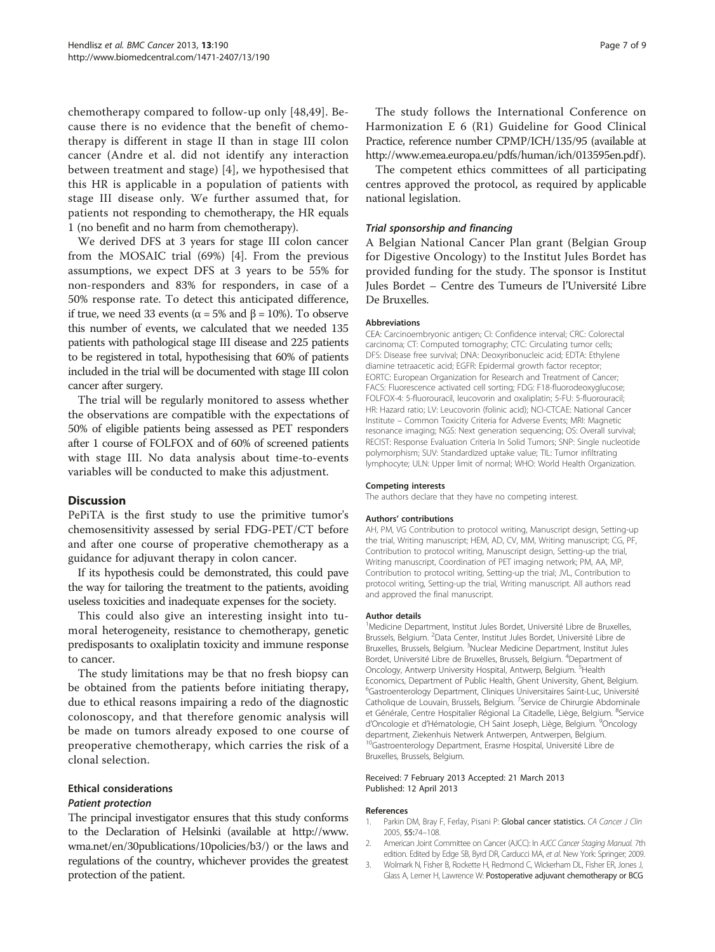<span id="page-6-0"></span>chemotherapy compared to follow-up only [[48,49\]](#page-8-0). Because there is no evidence that the benefit of chemotherapy is different in stage II than in stage III colon cancer (Andre et al. did not identify any interaction between treatment and stage) [\[4](#page-7-0)], we hypothesised that this HR is applicable in a population of patients with stage III disease only. We further assumed that, for patients not responding to chemotherapy, the HR equals 1 (no benefit and no harm from chemotherapy).

We derived DFS at 3 years for stage III colon cancer from the MOSAIC trial (69%) [[4\]](#page-7-0). From the previous assumptions, we expect DFS at 3 years to be 55% for non-responders and 83% for responders, in case of a 50% response rate. To detect this anticipated difference, if true, we need 33 events ( $\alpha$  = 5% and β = 10%). To observe this number of events, we calculated that we needed 135 patients with pathological stage III disease and 225 patients to be registered in total, hypothesising that 60% of patients included in the trial will be documented with stage III colon cancer after surgery.

The trial will be regularly monitored to assess whether the observations are compatible with the expectations of 50% of eligible patients being assessed as PET responders after 1 course of FOLFOX and of 60% of screened patients with stage III. No data analysis about time-to-events variables will be conducted to make this adjustment.

## **Discussion**

PePiTA is the first study to use the primitive tumor's chemosensitivity assessed by serial FDG-PET/CT before and after one course of properative chemotherapy as a guidance for adjuvant therapy in colon cancer.

If its hypothesis could be demonstrated, this could pave the way for tailoring the treatment to the patients, avoiding useless toxicities and inadequate expenses for the society.

This could also give an interesting insight into tumoral heterogeneity, resistance to chemotherapy, genetic predisposants to oxaliplatin toxicity and immune response to cancer.

The study limitations may be that no fresh biopsy can be obtained from the patients before initiating therapy, due to ethical reasons impairing a redo of the diagnostic colonoscopy, and that therefore genomic analysis will be made on tumors already exposed to one course of preoperative chemotherapy, which carries the risk of a clonal selection.

# Ethical considerations

# Patient protection

The principal investigator ensures that this study conforms to the Declaration of Helsinki (available at [http://www.](http://www.wma.net/en/30publications/10policies/b3/) [wma.net/en/30publications/10policies/b3/](http://www.wma.net/en/30publications/10policies/b3/)) or the laws and regulations of the country, whichever provides the greatest protection of the patient.

The study follows the International Conference on Harmonization E 6 (R1) Guideline for Good Clinical Practice, reference number CPMP/ICH/135/95 (available at <http://www.emea.europa.eu/pdfs/human/ich/013595en.pdf> ).

The competent ethics committees of all participating centres approved the protocol, as required by applicable national legislation.

#### Trial sponsorship and financing

A Belgian National Cancer Plan grant (Belgian Group for Digestive Oncology) to the Institut Jules Bordet has provided funding for the study. The sponsor is Institut Jules Bordet – Centre des Tumeurs de l'Université Libre De Bruxelles.

#### Abbreviations

CEA: Carcinoembryonic antigen; CI: Confidence interval; CRC: Colorectal carcinoma; CT: Computed tomography; CTC: Circulating tumor cells; DFS: Disease free survival; DNA: Deoxyribonucleic acid; EDTA: Ethylene diamine tetraacetic acid; EGFR: Epidermal growth factor receptor; EORTC: European Organization for Research and Treatment of Cancer; FACS: Fluorescence activated cell sorting; FDG: F18-fluorodeoxyglucose; FOLFOX-4: 5-fluorouracil, leucovorin and oxaliplatin; 5-FU: 5-fluorouracil; HR: Hazard ratio; LV: Leucovorin (folinic acid); NCI-CTCAE: National Cancer Institute – Common Toxicity Criteria for Adverse Events; MRI: Magnetic resonance imaging; NGS: Next generation sequencing; OS: Overall survival; RECIST: Response Evaluation Criteria In Solid Tumors; SNP: Single nucleotide polymorphism; SUV: Standardized uptake value; TIL: Tumor infiltrating lymphocyte; ULN: Upper limit of normal; WHO: World Health Organization.

#### Competing interests

The authors declare that they have no competing interest.

#### Authors' contributions

AH, PM, VG Contribution to protocol writing, Manuscript design, Setting-up the trial, Writing manuscript; HEM, AD, CV, MM, Writing manuscript; CG, PF, Contribution to protocol writing, Manuscript design, Setting-up the trial, Writing manuscript, Coordination of PET imaging network; PM, AA, MP, Contribution to protocol writing, Setting-up the trial; JVL, Contribution to protocol writing, Setting-up the trial, Writing manuscript. All authors read and approved the final manuscript.

#### Author details

<sup>1</sup>Medicine Department, Institut Jules Bordet, Université Libre de Bruxelles, Brussels, Belgium. <sup>2</sup>Data Center, Institut Jules Bordet, Université Libre de Bruxelles, Brussels, Belgium. <sup>3</sup>Nuclear Medicine Department, Institut Jules Bordet, Université Libre de Bruxelles, Brussels, Belgium. <sup>4</sup> Department of Oncology, Antwerp University Hospital, Antwerp, Belgium. <sup>5</sup>Health Economics, Department of Public Health, Ghent University, Ghent, Belgium. 6 Gastroenterology Department, Cliniques Universitaires Saint-Luc, Université Catholique de Louvain, Brussels, Belgium. <sup>7</sup>Service de Chirurgie Abdominale et Générale, Centre Hospitalier Régional La Citadelle, Liège, Belgium. <sup>8</sup>Service d'Oncologie et d'Hématologie, CH Saint Joseph, Liège, Belgium. <sup>9</sup>Oncology department, Ziekenhuis Netwerk Antwerpen, Antwerpen, Belgium. <sup>10</sup>Gastroenterology Department, Erasme Hospital, Université Libre de Bruxelles, Brussels, Belgium.

#### Received: 7 February 2013 Accepted: 21 March 2013 Published: 12 April 2013

#### References

- 1. Parkin DM, Bray F, Ferlay, Pisani P: Global cancer statistics. CA Cancer J Clin 2005, 55:74–108.
- 2. American Joint Committee on Cancer (AJCC): In AJCC Cancer Staging Manual. 7th edition. Edited by Edge SB, Byrd DR, Carducci MA, et al. New York: Springer; 2009.
- 3. Wolmark N, Fisher B, Rockette H, Redmond C, Wickerham DL, Fisher ER, Jones J, Glass A, Lerner H, Lawrence W: Postoperative adjuvant chemotherapy or BCG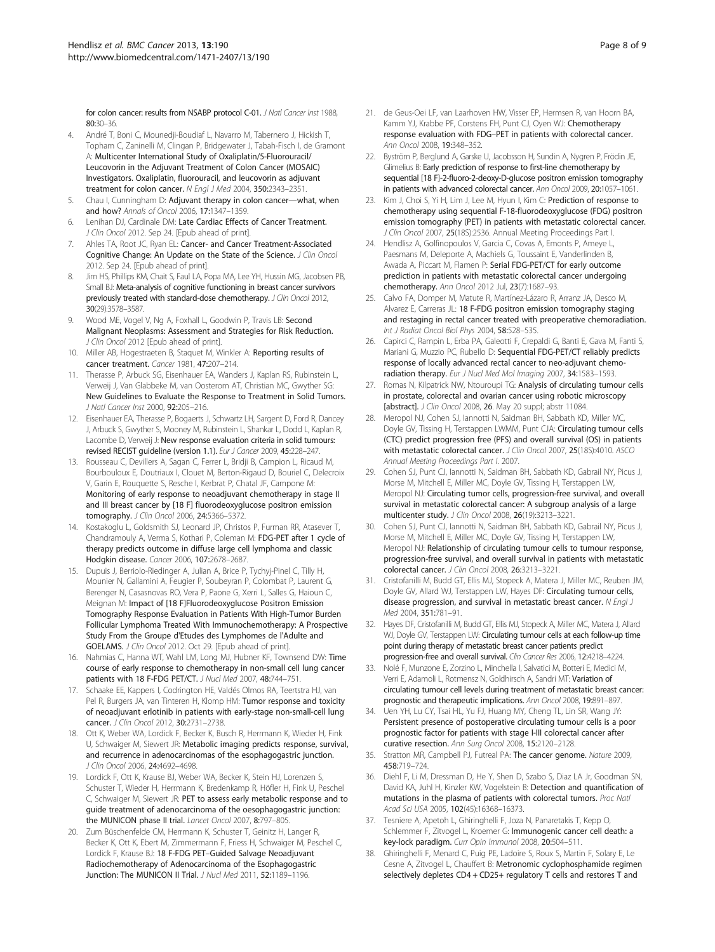<span id="page-7-0"></span>for colon cancer: results from NSABP protocol C-01. J Natl Cancer Inst 1988, 80:30–36.

- 4. André T, Boni C, Mounedji-Boudiaf L, Navarro M, Tabernero J, Hickish T, Topham C, Zaninelli M, Clingan P, Bridgewater J, Tabah-Fisch I, de Gramont A: Multicenter International Study of Oxaliplatin/5-Fluorouracil/ Leucovorin in the Adjuvant Treatment of Colon Cancer (MOSAIC) Investigators. Oxaliplatin, fluorouracil, and leucovorin as adjuvant treatment for colon cancer. N Engl J Med 2004, 350:2343–2351.
- Chau I, Cunningham D: Adjuvant therapy in colon cancer—what, when and how? Annals of Oncol 2006, 17:1347–1359.
- Lenihan DJ, Cardinale DM: Late Cardiac Effects of Cancer Treatment. J Clin Oncol 2012. Sep 24. [Epub ahead of print].
- 7. Ahles TA, Root JC, Ryan EL: Cancer- and Cancer Treatment-Associated Cognitive Change: An Update on the State of the Science. J Clin Oncol 2012. Sep 24. [Epub ahead of print].
- 8. Jim HS, Phillips KM, Chait S, Faul LA, Popa MA, Lee YH, Hussin MG, Jacobsen PB, Small BJ: Meta-analysis of cognitive functioning in breast cancer survivors previously treated with standard-dose chemotherapy. J Clin Oncol 2012, 30(29):3578–3587.
- Wood ME, Vogel V, Ng A, Foxhall L, Goodwin P, Travis LB: Second Malignant Neoplasms: Assessment and Strategies for Risk Reduction. J Clin Oncol 2012 [Epub ahead of print].
- 10. Miller AB, Hogestraeten B, Staquet M, Winkler A: Reporting results of cancer treatment. Cancer 1981, 47:207–214.
- 11. Therasse P, Arbuck SG, Eisenhauer EA, Wanders J, Kaplan RS, Rubinstein L, Verweij J, Van Glabbeke M, van Oosterom AT, Christian MC, Gwyther SG: New Guidelines to Evaluate the Response to Treatment in Solid Tumors. J Natl Cancer Inst 2000, 92:205–216.
- 12. Eisenhauer EA, Therasse P, Bogaerts J, Schwartz LH, Sargent D, Ford R, Dancey J, Arbuck S, Gwyther S, Mooney M, Rubinstein L, Shankar L, Dodd L, Kaplan R, Lacombe D, Verweij J: New response evaluation criteria in solid tumours: revised RECIST guideline (version 1.1). Eur J Cancer 2009, 45:228–247.
- 13. Rousseau C, Devillers A, Sagan C, Ferrer L, Bridji B, Campion L, Ricaud M, Bourbouloux E, Doutriaux I, Clouet M, Berton-Rigaud D, Bouriel C, Delecroix V, Garin E, Rouquette S, Resche I, Kerbrat P, Chatal JF, Campone M: Monitoring of early response to neoadjuvant chemotherapy in stage II and III breast cancer by [18 F] fluorodeoxyglucose positron emission tomography. J Clin Oncol 2006, 24:5366–5372.
- 14. Kostakoglu L, Goldsmith SJ, Leonard JP, Christos P, Furman RR, Atasever T, Chandramouly A, Verma S, Kothari P, Coleman M: FDG-PET after 1 cycle of therapy predicts outcome in diffuse large cell lymphoma and classic Hodgkin disease. Cancer 2006, 107:2678–2687.
- Dupuis J, Berriolo-Riedinger A, Julian A, Brice P, Tychyj-Pinel C, Tilly H, Mounier N, Gallamini A, Feugier P, Soubeyran P, Colombat P, Laurent G, Berenger N, Casasnovas RO, Vera P, Paone G, Xerri L, Salles G, Haioun C, Meignan M: Impact of [18 F]Fluorodeoxyglucose Positron Emission Tomography Response Evaluation in Patients With High-Tumor Burden Follicular Lymphoma Treated With Immunochemotherapy: A Prospective Study From the Groupe d'Etudes des Lymphomes de l'Adulte and GOELAMS. J Clin Oncol 2012. Oct 29. [Epub ahead of print].
- 16. Nahmias C, Hanna WT, Wahl LM, Long MJ, Hubner KF, Townsend DW: Time course of early response to chemotherapy in non-small cell lung cancer patients with 18 F-FDG PET/CT. J Nucl Med 2007, 48:744–751.
- 17. Schaake EE, Kappers I, Codrington HE, Valdés Olmos RA, Teertstra HJ, van Pel R, Burgers JA, van Tinteren H, Klomp HM: Tumor response and toxicity of neoadjuvant erlotinib in patients with early-stage non-small-cell lung cancer. J Clin Oncol 2012, 30:2731-2738.
- 18. Ott K, Weber WA, Lordick F, Becker K, Busch R, Herrmann K, Wieder H, Fink U, Schwaiger M, Siewert JR: Metabolic imaging predicts response, survival, and recurrence in adenocarcinomas of the esophagogastric junction. J Clin Oncol 2006, 24:4692–4698.
- 19. Lordick F, Ott K, Krause BJ, Weber WA, Becker K, Stein HJ, Lorenzen S, Schuster T, Wieder H, Herrmann K, Bredenkamp R, Höfler H, Fink U, Peschel C, Schwaiger M, Siewert JR: PET to assess early metabolic response and to guide treatment of adenocarcinoma of the oesophagogastric junction: the MUNICON phase II trial. Lancet Oncol 2007, 8:797–805.
- Zum Büschenfelde CM, Herrmann K, Schuster T, Geinitz H, Langer R, Becker K, Ott K, Ebert M, Zimmermann F, Friess H, Schwaiger M, Peschel C, Lordick F, Krause BJ: 18 F-FDG PET–Guided Salvage Neoadjuvant Radiochemotherapy of Adenocarcinoma of the Esophagogastric Junction: The MUNICON II Trial. J Nucl Med 2011, 52:1189–1196.
- 21. de Geus-Oei LF, van Laarhoven HW, Visser EP, Hermsen R, van Hoorn BA, Kamm YJ, Krabbe PF, Corstens FH, Punt CJ, Oyen WJ: Chemotherapy response evaluation with FDG–PET in patients with colorectal cancer. Ann Oncol 2008, 19:348–352.
- 22. Byström P, Berglund A, Garske U, Jacobsson H, Sundin A, Nygren P, Frödin JE, Glimelius B: Early prediction of response to first-line chemotherapy by sequential [18 F]-2-fluoro-2-deoxy-D-glucose positron emission tomography in patients with advanced colorectal cancer. Ann Oncol 2009, 20:1057–1061.
- 23. Kim J, Choi S, Yi H, Lim J, Lee M, Hyun I, Kim C: Prediction of response to chemotherapy using sequential F-18-fluorodeoxyglucose (FDG) positron emission tomography (PET) in patients with metastatic colorectal cancer. J Clin Oncol 2007, 25(18S):2536. Annual Meeting Proceedings Part I.
- 24. Hendlisz A, Golfinopoulos V, Garcia C, Covas A, Emonts P, Ameye L, Paesmans M, Deleporte A, Machiels G, Toussaint E, Vanderlinden B, Awada A, Piccart M, Flamen P: Serial FDG-PET/CT for early outcome prediction in patients with metastatic colorectal cancer undergoing chemotherapy. Ann Oncol 2012 Jul, 23(7):1687–93.
- 25. Calvo FA, Domper M, Matute R, Martínez-Lázaro R, Arranz JA, Desco M, Alvarez E, Carreras JL: 18 F-FDG positron emission tomography staging and restaging in rectal cancer treated with preoperative chemoradiation. Int J Radiat Oncol Biol Phys 2004, 58:528-535.
- 26. Capirci C, Rampin L, Erba PA, Galeotti F, Crepaldi G, Banti E, Gava M, Fanti S, Mariani G, Muzzio PC, Rubello D: Sequential FDG-PET/CT reliably predicts response of locally advanced rectal cancer to neo-adjuvant chemoradiation therapy. Eur J Nucl Med Mol Imaging 2007, 34:1583–1593.
- 27. Romas N, Kilpatrick NW, Ntouroupi TG: Analysis of circulating tumour cells in prostate, colorectal and ovarian cancer using robotic microscopy [abstract]. J Clin Oncol 2008, 26. May 20 suppl; abstr 11084.
- 28. Meropol NJ, Cohen SJ, Iannotti N, Saidman BH, Sabbath KD, Miller MC, Doyle GV, Tissing H, Terstappen LWMM, Punt CJA: Circulating tumour cells (CTC) predict progression free (PFS) and overall survival (OS) in patients with metastatic colorectal cancer. J Clin Oncol 2007, 25(18S):4010. ASCO Annual Meeting Proceedings Part I. 2007.
- 29. Cohen SJ, Punt CJ, Iannotti N, Saidman BH, Sabbath KD, Gabrail NY, Picus J, Morse M, Mitchell E, Miller MC, Doyle GV, Tissing H, Terstappen LW, Meropol NJ: Circulating tumor cells, progression-free survival, and overall survival in metastatic colorectal cancer: A subgroup analysis of a large multicenter study. J Clin Oncol 2008, 26(19):3213–3221.
- Cohen SJ, Punt CJ, Iannotti N, Saidman BH, Sabbath KD, Gabrail NY, Picus J, Morse M, Mitchell E, Miller MC, Doyle GV, Tissing H, Terstappen LW, Meropol NJ: Relationship of circulating tumour cells to tumour response, progression-free survival, and overall survival in patients with metastatic colorectal cancer. J Clin Oncol 2008, 26:3213–3221.
- 31. Cristofanilli M, Budd GT, Ellis MJ, Stopeck A, Matera J, Miller MC, Reuben JM, Doyle GV, Allard WJ, Terstappen LW, Hayes DF: Circulating tumour cells, disease progression, and survival in metastatic breast cancer. N Engl J Med 2004, 351:781–91.
- 32. Hayes DF, Cristofanilli M, Budd GT, Ellis MJ, Stopeck A, Miller MC, Matera J, Allard WJ, Doyle GV, Terstappen LW: Circulating tumour cells at each follow-up time point during therapy of metastatic breast cancer patients predict progression-free and overall survival. Clin Cancer Res 2006, 12:4218–4224.
- 33. Nolé F, Munzone E, Zorzino L, Minchella I, Salvatici M, Botteri E, Medici M, Verri E, Adamoli L, Rotmensz N, Goldhirsch A, Sandri MT: Variation of circulating tumour cell levels during treatment of metastatic breast cancer: prognostic and therapeutic implications. Ann Oncol 2008, 19:891–897.
- 34. Uen YH, Lu CY, Tsai HL, Yu FJ, Huang MY, Cheng TL, Lin SR, Wang JY: Persistent presence of postoperative circulating tumour cells is a poor prognostic factor for patients with stage I-III colorectal cancer after curative resection. Ann Surg Oncol 2008, 15:2120–2128.
- 35. Stratton MR, Campbell PJ, Futreal PA: The cancer genome. Nature 2009, 458:719–724.
- 36. Diehl F, Li M, Dressman D, He Y, Shen D, Szabo S, Diaz LA Jr, Goodman SN, David KA, Juhl H, Kinzler KW, Vogelstein B: Detection and quantification of mutations in the plasma of patients with colorectal tumors. Proc Natl Acad Sci USA 2005, 102(45):16368–16373.
- 37. Tesniere A, Apetoh L, Ghiringhelli F, Joza N, Panaretakis T, Kepp O, Schlemmer F, Zitvogel L, Kroemer G: Immunogenic cancer cell death: a key-lock paradigm. Curr Opin Immunol 2008, 20:504–511.
- 38. Ghiringhelli F, Menard C, Puig PE, Ladoire S, Roux S, Martin F, Solary E, Le Cesne A, Zitvogel L, Chauffert B: Metronomic cyclophosphamide regimen selectively depletes CD4 + CD25+ regulatory T cells and restores T and